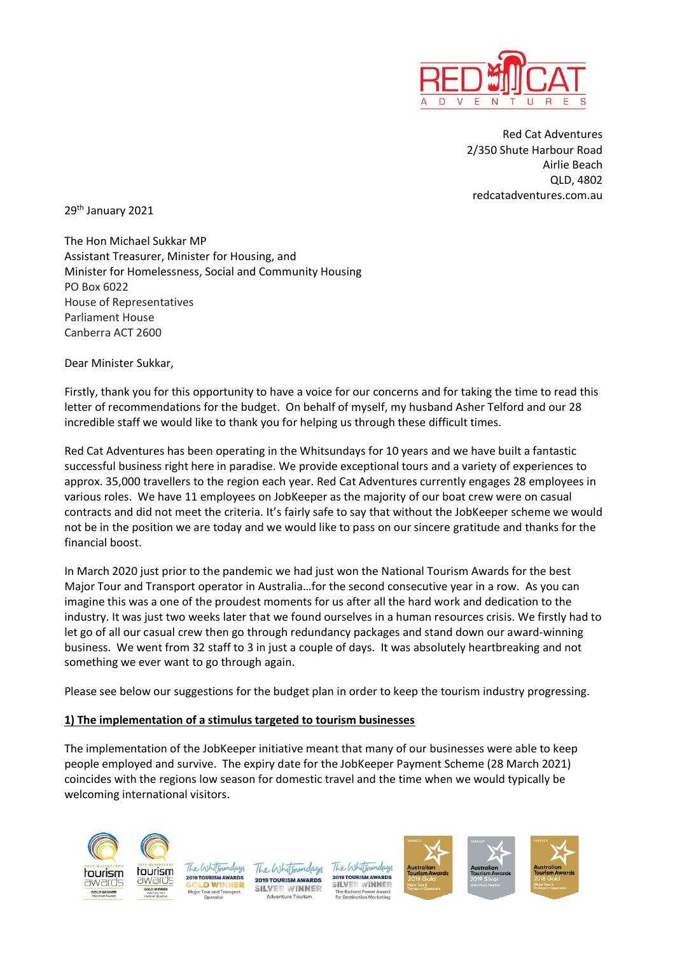

Red Cat Adventures 2/350 Shute Harbour Road Airlie Beach QLD, 4802 redcatadventures.com.au

29th January 2021

The Hon Michael Sukkar MP Assistant Treasurer, Minister for Housing, and Minister for Homelessness, Social and Community Housing PO Box 6022 House of Representatives Parliament House Canberra ACT 2600

Dear Minister Sukkar,

Firstly, thank you for this opportunity to have a voice for our concerns and for taking the time to read this letter of recommendations for the budget. On behalf of myself, my husband Asher Telford and our 28 incredible staff we would like to thank you for helping us through these difficult times.

Red Cat Adventures has been operating in the Whitsundays for 10 years and we have built a fantastic successful business right here in paradise. We provide exceptional tours and a variety of experiences to approx. 35,000 travellers to the region each year. Red Cat Adventures currently engages 28 employees in various roles. We have 11 employees on JobKeeper as the majority of our boat crew were on casual contracts and did not meet the criteria. It's fairly safe to say that without the JobKeeper scheme we would not be in the position we are today and we would like to pass on our sincere gratitude and thanks for the financial boost.

In March 2020 just prior to the pandemic we had just won the National Tourism Awards for the best Major Tour and Transport operator in Australia…for the second consecutive year in a row. As you can imagine this was a one of the proudest moments for us after all the hard work and dedication to the industry. It was just two weeks later that we found ourselves in a human resources crisis. We firstly had to let go of all our casual crew then go through redundancy packages and stand down our award-winning business. We went from 32 staff to 3 in just a couple of days. It was absolutely heartbreaking and not something we ever want to go through again.

Please see below our suggestions for the budget plan in order to keep the tourism industry progressing.

## **1) The implementation of a stimulus targeted to tourism businesses**

The implementation of the JobKeeper initiative meant that many of our businesses were able to keep people employed and survive. The expiry date for the JobKeeper Payment Scheme (28 March 2021) coincides with the regions low season for domestic travel and the time when we would typically be welcoming international visitors.





The Whitsundays **2019 TOURISM AWARDS SILVER WINNER** 

The Wh **SILVER WINNER** 



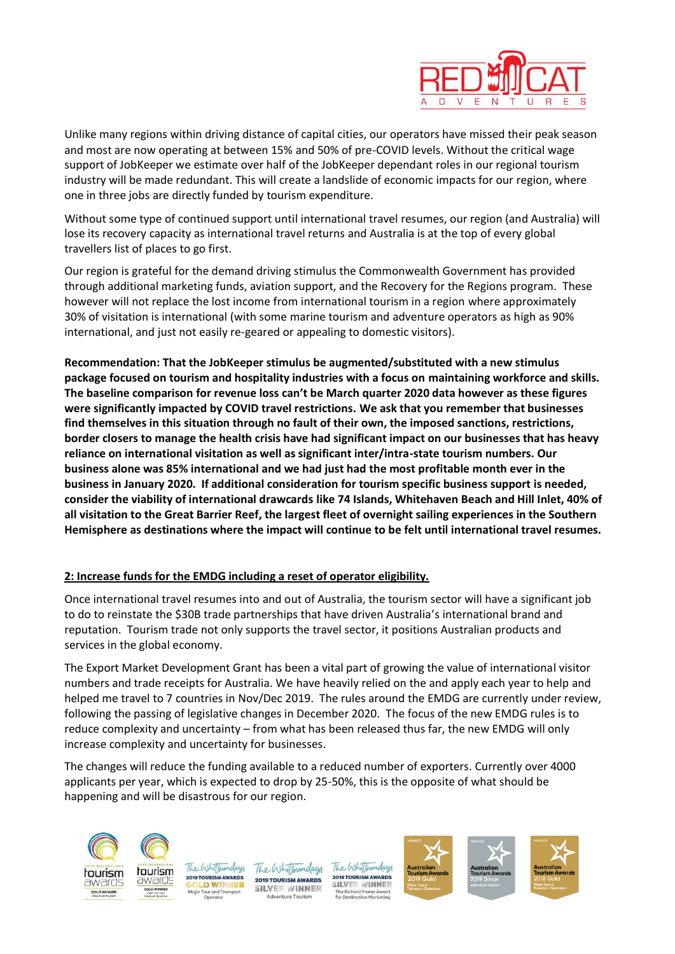

Unlike many regions within driving distance of capital cities, our operators have missed their peak season and most are now operating at between 15% and 50% of pre-COVID levels. Without the critical wage support of JobKeeper we estimate over half of the JobKeeper dependant roles in our regional tourism industry will be made redundant. This will create a landslide of economic impacts for our region, where one in three jobs are directly funded by tourism expenditure.

Without some type of continued support until international travel resumes, our region (and Australia) will lose its recovery capacity as international travel returns and Australia is at the top of every global travellers list of places to go first.

Our region is grateful for the demand driving stimulus the Commonwealth Government has provided through additional marketing funds, aviation support, and the Recovery for the Regions program. These however will not replace the lost income from international tourism in a region where approximately 30% of visitation is international (with some marine tourism and adventure operators as high as 90% international, and just not easily re-geared or appealing to domestic visitors).

**Recommendation: That the JobKeeper stimulus be augmented/substituted with a new stimulus package focused on tourism and hospitality industries with a focus on maintaining workforce and skills. The baseline comparison for revenue loss can't be March quarter 2020 data however as these figures were significantly impacted by COVID travel restrictions. We ask that you remember that businesses find themselves in this situation through no fault of their own, the imposed sanctions, restrictions, border closers to manage the health crisis have had significant impact on our businesses that has heavy reliance on international visitation as well as significant inter/intra-state tourism numbers. Our business alone was 85% international and we had just had the most profitable month ever in the business in January 2020. If additional consideration for tourism specific business support is needed, consider the viability of international drawcards like 74 Islands, Whitehaven Beach and Hill Inlet, 40% of all visitation to the Great Barrier Reef, the largest fleet of overnight sailing experiences in the Southern Hemisphere as destinations where the impact will continue to be felt until international travel resumes.** 

## **2: Increase funds for the EMDG including a reset of operator eligibility.**

Once international travel resumes into and out of Australia, the tourism sector will have a significant job to do to reinstate the \$30B trade partnerships that have driven Australia's international brand and reputation. Tourism trade not only supports the travel sector, it positions Australian products and services in the global economy.

The Export Market Development Grant has been a vital part of growing the value of international visitor numbers and trade receipts for Australia. We have heavily relied on the and apply each year to help and helped me travel to 7 countries in Nov/Dec 2019. The rules around the EMDG are currently under review, following the passing of legislative changes in December 2020. The focus of the new EMDG rules is to reduce complexity and uncertainty – from what has been released thus far, the new EMDG will only increase complexity and uncertainty for businesses.

The changes will reduce the funding available to a reduced number of exporters. Currently over 4000 applicants per year, which is expected to drop by 25-50%, this is the opposite of what should be happening and will be disastrous for our region.



The Whitsundays **2019 TOURISM AWARDS SILVER WINNER** 

The Whitsundays **2019 TOURISM AWAR SILVER WINNER** 



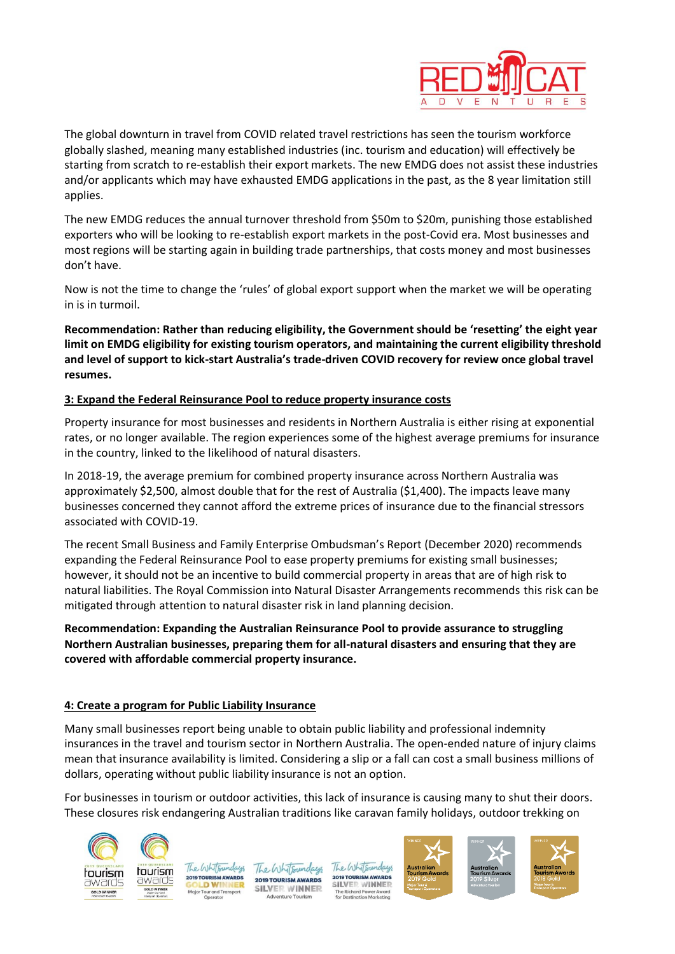

The global downturn in travel from COVID related travel restrictions has seen the tourism workforce globally slashed, meaning many established industries (inc. tourism and education) will effectively be starting from scratch to re-establish their export markets. The new EMDG does not assist these industries and/or applicants which may have exhausted EMDG applications in the past, as the 8 year limitation still applies.

The new EMDG reduces the annual turnover threshold from \$50m to \$20m, punishing those established exporters who will be looking to re-establish export markets in the post-Covid era. Most businesses and most regions will be starting again in building trade partnerships, that costs money and most businesses don't have.

Now is not the time to change the 'rules' of global export support when the market we will be operating in is in turmoil.

**Recommendation: Rather than reducing eligibility, the Government should be 'resetting' the eight year limit on EMDG eligibility for existing tourism operators, and maintaining the current eligibility threshold and level of support to kick-start Australia's trade-driven COVID recovery for review once global travel resumes.** 

## **3: Expand the Federal Reinsurance Pool to reduce property insurance costs**

Property insurance for most businesses and residents in Northern Australia is either rising at exponential rates, or no longer available. The region experiences some of the highest average premiums for insurance in the country, linked to the likelihood of natural disasters.

In 2018-19, the average premium for combined property insurance across Northern Australia was approximately \$2,500, almost double that for the rest of Australia (\$1,400). The impacts leave many businesses concerned they cannot afford the extreme prices of insurance due to the financial stressors associated with COVID-19.

The recent Small Business and Family Enterprise Ombudsman's Report (December 2020) recommends expanding the Federal Reinsurance Pool to ease property premiums for existing small businesses; however, it should not be an incentive to build commercial property in areas that are of high risk to natural liabilities. The Royal Commission into Natural Disaster Arrangements recommends this risk can be mitigated through attention to natural disaster risk in land planning decision.

**Recommendation: Expanding the Australian Reinsurance Pool to provide assurance to struggling Northern Australian businesses, preparing them for all-natural disasters and ensuring that they are covered with affordable commercial property insurance.** 

## **4: Create a program for Public Liability Insurance**

Many small businesses report being unable to obtain public liability and professional indemnity insurances in the travel and tourism sector in Northern Australia. The open-ended nature of injury claims mean that insurance availability is limited. Considering a slip or a fall can cost a small business millions of dollars, operating without public liability insurance is not an option.

For businesses in tourism or outdoor activities, this lack of insurance is causing many to shut their doors. These closures risk endangering Australian traditions like caravan family holidays, outdoor trekking on



The Whitsundays tourism **2019 TOURISM AWARDS** awards **DWINNER** nd Tro

The Whitsundays **2019 TOURISM AWARDS SILVER WINNER** 

The Whitsundays **2019 TOURISM AWAR SILVER WINNER**